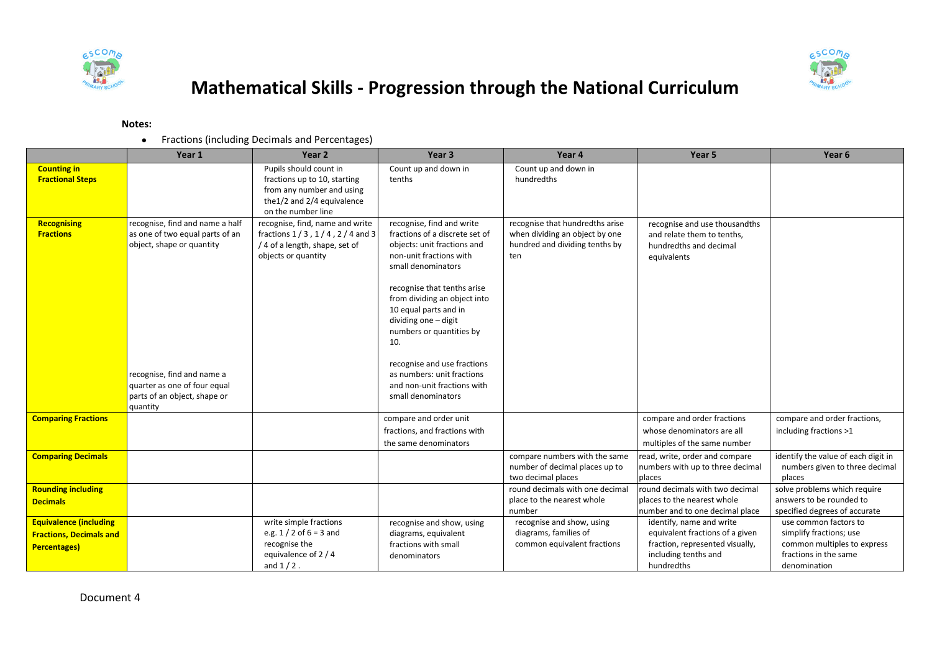



## **Mathematical Skills - Progression through the National Curriculum**

## **Notes:**

Fractions (including Decimals and Percentages)

|                                                                                        | Year 1                                                                                                                                                                                        | Year <sub>2</sub>                                                                                                                       | Year <sub>3</sub>                                                                                                                                                                                                                                                                                                                                                                                                | Year 4                                                                                                     | Year 5                                                                                                                               | Year 6                                                                                                                   |
|----------------------------------------------------------------------------------------|-----------------------------------------------------------------------------------------------------------------------------------------------------------------------------------------------|-----------------------------------------------------------------------------------------------------------------------------------------|------------------------------------------------------------------------------------------------------------------------------------------------------------------------------------------------------------------------------------------------------------------------------------------------------------------------------------------------------------------------------------------------------------------|------------------------------------------------------------------------------------------------------------|--------------------------------------------------------------------------------------------------------------------------------------|--------------------------------------------------------------------------------------------------------------------------|
| <b>Counting in</b><br><b>Fractional Steps</b>                                          |                                                                                                                                                                                               | Pupils should count in<br>fractions up to 10, starting<br>from any number and using<br>the1/2 and 2/4 equivalence<br>on the number line | Count up and down in<br>tenths                                                                                                                                                                                                                                                                                                                                                                                   | Count up and down in<br>hundredths                                                                         |                                                                                                                                      |                                                                                                                          |
| Recognising<br><b>Fractions</b>                                                        | recognise, find and name a half<br>as one of two equal parts of an<br>object, shape or quantity<br>recognise, find and name a<br>quarter as one of four equal<br>parts of an object, shape or | recognise, find, name and write<br>fractions $1/3$ , $1/4$ , $2/4$ and 3<br>/ 4 of a length, shape, set of<br>objects or quantity       | recognise, find and write<br>fractions of a discrete set of<br>objects: unit fractions and<br>non-unit fractions with<br>small denominators<br>recognise that tenths arise<br>from dividing an object into<br>10 equal parts and in<br>dividing one - digit<br>numbers or quantities by<br>10.<br>recognise and use fractions<br>as numbers: unit fractions<br>and non-unit fractions with<br>small denominators | recognise that hundredths arise<br>when dividing an object by one<br>hundred and dividing tenths by<br>ten | recognise and use thousandths<br>and relate them to tenths,<br>hundredths and decimal<br>equivalents                                 |                                                                                                                          |
| <b>Comparing Fractions</b>                                                             | quantity                                                                                                                                                                                      |                                                                                                                                         | compare and order unit<br>fractions, and fractions with<br>the same denominators                                                                                                                                                                                                                                                                                                                                 |                                                                                                            | compare and order fractions<br>whose denominators are all<br>multiples of the same number                                            | compare and order fractions,<br>including fractions >1                                                                   |
| <b>Comparing Decimals</b>                                                              |                                                                                                                                                                                               |                                                                                                                                         |                                                                                                                                                                                                                                                                                                                                                                                                                  | compare numbers with the same<br>number of decimal places up to<br>two decimal places                      | read, write, order and compare<br>numbers with up to three decimal<br>places                                                         | identify the value of each digit in<br>numbers given to three decimal<br>places                                          |
| <b>Rounding including</b><br><b>Decimals</b>                                           |                                                                                                                                                                                               |                                                                                                                                         |                                                                                                                                                                                                                                                                                                                                                                                                                  | round decimals with one decimal<br>place to the nearest whole<br>number                                    | round decimals with two decimal<br>places to the nearest whole<br>number and to one decimal place                                    | solve problems which require<br>answers to be rounded to<br>specified degrees of accurate                                |
| <b>Equivalence (including</b><br><b>Fractions, Decimals and</b><br><b>Percentages)</b> |                                                                                                                                                                                               | write simple fractions<br>e.g. $1/2$ of $6 = 3$ and<br>recognise the<br>equivalence of 2 / 4<br>and $1/2$ .                             | recognise and show, using<br>diagrams, equivalent<br>fractions with small<br>denominators                                                                                                                                                                                                                                                                                                                        | recognise and show, using<br>diagrams, families of<br>common equivalent fractions                          | identify, name and write<br>equivalent fractions of a given<br>fraction, represented visually,<br>including tenths and<br>hundredths | use common factors to<br>simplify fractions; use<br>common multiples to express<br>fractions in the same<br>denomination |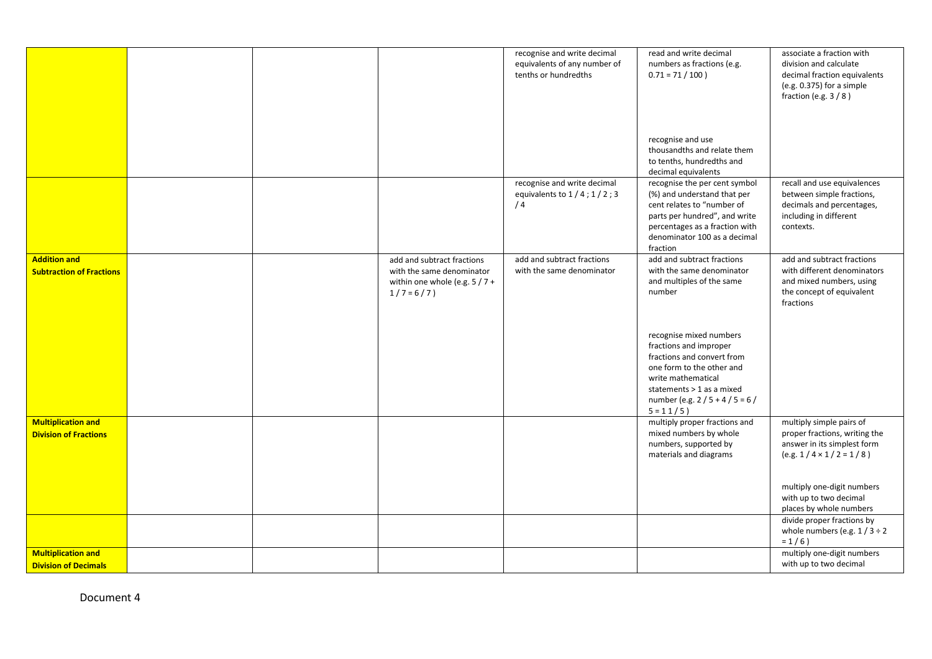|                                                           |  |                                                                                                         | recognise and write decimal<br>equivalents of any number of<br>tenths or hundredths | read and write decimal<br>numbers as fractions (e.g.<br>$0.71 = 71 / 100$ )                                                                                                                                    | associate a fraction with<br>division and calculate<br>decimal fraction equivalents<br>(e.g. 0.375) for a simple<br>fraction (e.g. $3/8$ ) |
|-----------------------------------------------------------|--|---------------------------------------------------------------------------------------------------------|-------------------------------------------------------------------------------------|----------------------------------------------------------------------------------------------------------------------------------------------------------------------------------------------------------------|--------------------------------------------------------------------------------------------------------------------------------------------|
|                                                           |  |                                                                                                         |                                                                                     | recognise and use<br>thousandths and relate them<br>to tenths, hundredths and<br>decimal equivalents                                                                                                           |                                                                                                                                            |
|                                                           |  |                                                                                                         | recognise and write decimal<br>equivalents to $1/4$ ; $1/2$ ; 3<br>/4               | recognise the per cent symbol<br>(%) and understand that per<br>cent relates to "number of<br>parts per hundred", and write<br>percentages as a fraction with<br>denominator 100 as a decimal<br>fraction      | recall and use equivalences<br>between simple fractions,<br>decimals and percentages,<br>including in different<br>contexts.               |
| <b>Addition and</b><br><b>Subtraction of Fractions</b>    |  | add and subtract fractions<br>with the same denominator<br>within one whole (e.g. $5/7+$<br>$1/7 = 6/7$ | add and subtract fractions<br>with the same denominator                             | add and subtract fractions<br>with the same denominator<br>and multiples of the same<br>number                                                                                                                 | add and subtract fractions<br>with different denominators<br>and mixed numbers, using<br>the concept of equivalent<br>fractions            |
|                                                           |  |                                                                                                         |                                                                                     | recognise mixed numbers<br>fractions and improper<br>fractions and convert from<br>one form to the other and<br>write mathematical<br>statements > 1 as a mixed<br>number (e.g. $2/5 + 4/5 = 6/$<br>$5 = 11/5$ |                                                                                                                                            |
| <b>Multiplication and</b><br><b>Division of Fractions</b> |  |                                                                                                         |                                                                                     | multiply proper fractions and<br>mixed numbers by whole<br>numbers, supported by<br>materials and diagrams                                                                                                     | multiply simple pairs of<br>proper fractions, writing the<br>answer in its simplest form<br>$(e.g. 1 / 4 \times 1 / 2 = 1 / 8)$            |
|                                                           |  |                                                                                                         |                                                                                     |                                                                                                                                                                                                                | multiply one-digit numbers<br>with up to two decimal<br>places by whole numbers                                                            |
|                                                           |  |                                                                                                         |                                                                                     |                                                                                                                                                                                                                | divide proper fractions by<br>whole numbers (e.g. $1/3 \div 2$<br>$= 1/6$ )                                                                |
| <b>Multiplication and</b><br><b>Division of Decimals</b>  |  |                                                                                                         |                                                                                     |                                                                                                                                                                                                                | multiply one-digit numbers<br>with up to two decimal                                                                                       |